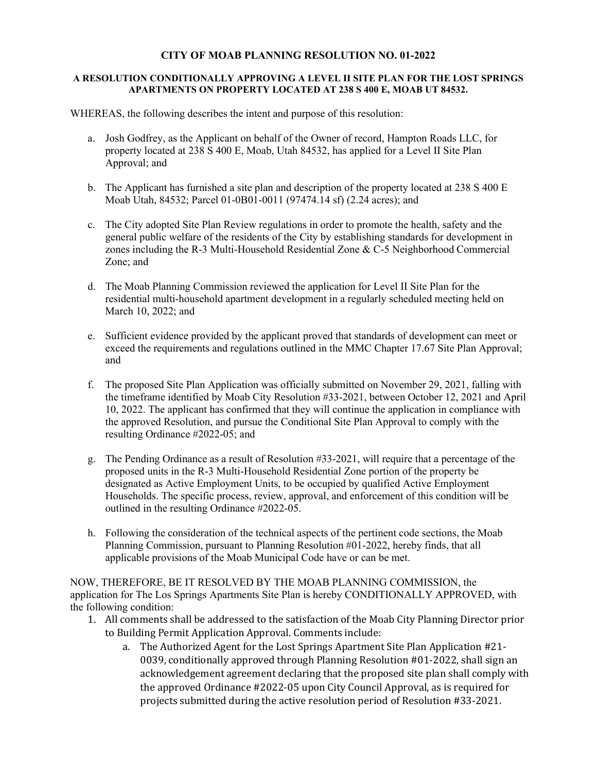## **CITY OF MOAB PLANNING RESOLUTION NO. 01-2022**

## **A RESOLUTION CONDITIONALLY APPROVING A LEVEL II SITE PLAN FOR THE LOST SPRINGS APARTMENTS ON PROPERTY LOCATED AT 238 S 400 E, MOAB UT 84532.**

WHEREAS, the following describes the intent and purpose of this resolution:

- a. Josh Godfrey, as the Applicant on behalf of the Owner of record, Hampton Roads LLC, for property located at 238 S 400 E, Moab, Utah 84532, has applied for a Level II Site Plan Approval; and
- b. The Applicant has furnished a site plan and description of the property located at 238 S 400 E Moab Utah, 84532; Parcel 01-0B01-0011 (97474.14 sf) (2.24 acres); and
- c. The City adopted Site Plan Review regulations in order to promote the health, safety and the general public welfare of the residents of the City by establishing standards for development in zones including the R-3 Multi-Household Residential Zone & C-5 Neighborhood Commercial Zone; and
- d. The Moab Planning Commission reviewed the application for Level II Site Plan for the residential multi-household apartment development in a regularly scheduled meeting held on March 10, 2022; and
- e. Sufficient evidence provided by the applicant proved that standards of development can meet or exceed the requirements and regulations outlined in the MMC Chapter 17.67 Site Plan Approval; and
- f. The proposed Site Plan Application was officially submitted on November 29, 2021, falling with the timeframe identified by Moab City Resolution #33-2021, between October 12, 2021 and April 10, 2022. The applicant has confirmed that they will continue the application in compliance with the approved Resolution, and pursue the Conditional Site Plan Approval to comply with the resulting Ordinance #2022-05; and
- g. The Pending Ordinance as a result of Resolution #33-2021, will require that a percentage of the proposed units in the R-3 Multi-Household Residential Zone portion of the property be designated as Active Employment Units, to be occupied by qualified Active Employment Households. The specific process, review, approval, and enforcement of this condition will be outlined in the resulting Ordinance #2022-05.
- h. Following the consideration of the technical aspects of the pertinent code sections, the Moab Planning Commission, pursuant to Planning Resolution #01-2022, hereby finds, that all applicable provisions of the Moab Municipal Code have or can be met.

NOW, THEREFORE, BE IT RESOLVED BY THE MOAB PLANNING COMMISSION, the application for The Los Springs Apartments Site Plan is hereby CONDITIONALLY APPROVED, with the following condition:

- 1. All comments shall be addressed to the satisfaction of the Moab City Planning Director prior to Building Permit Application Approval. Comments include:
	- a. The Authorized Agent for the Lost Springs Apartment Site Plan Application #21- 0039, conditionally approved through Planning Resolution #01-2022, shall sign an acknowledgement agreement declaring that the proposed site plan shall comply with the approved Ordinance #2022-05 upon City Council Approval, as is required for projects submitted during the active resolution period of Resolution #33-2021.